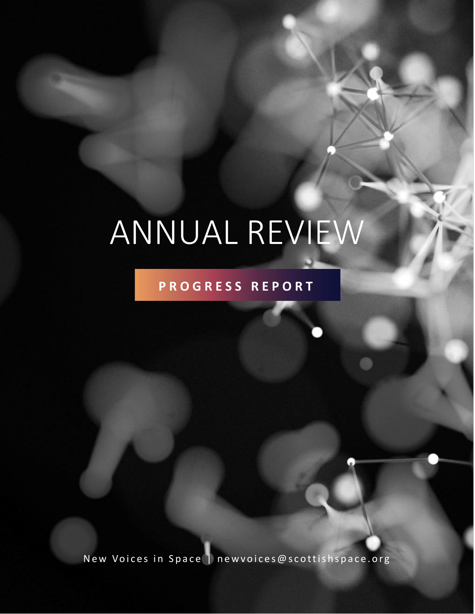# ANNUAL REVIEW

### **P R O G R E S S R E P O R T**

New Voices in Space | newvoices@scottishspace.org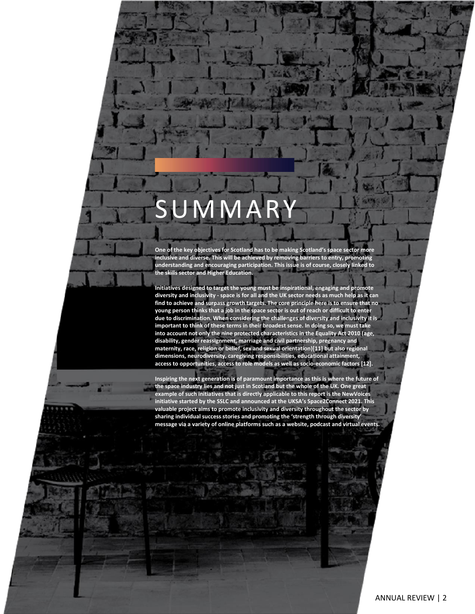## SUMMARY

**One of the key objectives for Scotland has to be making Scotland's space sector more inclusive and diverse. This will be achieved by removing barriers to entry, promoting understanding and encouraging participation. This issue is of course, closely linked to the skills sector and Higher Education.**

**Initiatives designed to target the young must be inspirational, engaging and promote diversity and inclusivity - space is for all and the UK sector needs as much help as it can find to achieve and surpass growth targets. The core principle here is to ensure that no young person thinks that a job in the space sector is out of reach or difficult to enter due to discrimination. When considering the challenges of diversity and inclusivity it is important to think of these terms in their broadest sense. In doing so, we must take into account not only the nine protected characteristics in the Equality Act 2010 (age, disability, gender reassignment, marriage and civil partnership, pregnancy and maternity, race, religion or belief, sex and sexual orientation)[11] but also regional dimensions, neurodiversity, caregiving responsibilities, educational attainment, access to opportunities, access to role models as well as socio-economic factors [12].**

**Inspiring the next generation is of paramount importance as this is where the future of the space industry lies and not just in Scotland but the whole of the UK. One great example of such initiatives that is directly applicable to this report is the NewVoices initiative started by the SSLC and announced at the UKSA's Space2Connect 2021. This valuable project aims to promote inclusivity and diversity throughout the sector by sharing individual success stories and promoting the 'strength through diversity' message via a variety of online platforms such as a website, podcast and virtual events.**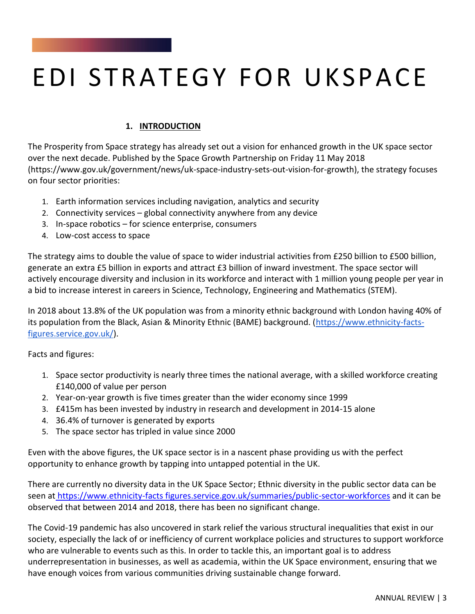### EDI STRATEGY FOR UKSPACE

#### **1. INTRODUCTION**

The Prosperity from Space strategy has already set out a vision for enhanced growth in the UK space sector over the next decade. Published by the Space Growth Partnership on Friday 11 May 2018 (https://www.gov.uk/government/news/uk-space-industry-sets-out-vision-for-growth), the strategy focuses on four sector priorities:

- 1. Earth information services including navigation, analytics and security
- 2. Connectivity services global connectivity anywhere from any device
- 3. In-space robotics for science enterprise, consumers
- 4. Low-cost access to space

The strategy aims to double the value of space to wider industrial activities from £250 billion to £500 billion, generate an extra £5 billion in exports and attract £3 billion of inward investment. The space sector will actively encourage diversity and inclusion in its workforce and interact with 1 million young people per year in a bid to increase interest in careers in Science, Technology, Engineering and Mathematics (STEM).

In 2018 about 13.8% of the UK population was from a minority ethnic background with London having 40% of its population from the Black, Asian & Minority Ethnic (BAME) background. [\(https://www.ethnicity-facts](https://www.ethnicity-facts-figures.service.gov.uk/)[figures.service.gov.uk/\)](https://www.ethnicity-facts-figures.service.gov.uk/).

Facts and figures:

- 1. Space sector productivity is nearly three times the national average, with a skilled workforce creating £140,000 of value per person
- 2. Year-on-year growth is five times greater than the wider economy since 1999
- 3. £415m has been invested by industry in research and development in 2014-15 alone
- 4. 36.4% of turnover is generated by exports
- 5. The space sector has tripled in value since 2000

Even with the above figures, the UK space sector is in a nascent phase providing us with the perfect opportunity to enhance growth by tapping into untapped potential in the UK.

There are currently no diversity data in the UK Space Sector; Ethnic diversity in the public sector data can be seen at [https://www.ethnicity-facts figures.service.gov.uk/summaries/public-sector-workforces](about:blank) and it can be observed that between 2014 and 2018, there has been no significant change.

The Covid-19 pandemic has also uncovered in stark relief the various structural inequalities that exist in our society, especially the lack of or inefficiency of current workplace policies and structures to support workforce who are vulnerable to events such as this. In order to tackle this, an important goal is to address underrepresentation in businesses, as well as academia, within the UK Space environment, ensuring that we have enough voices from various communities driving sustainable change forward.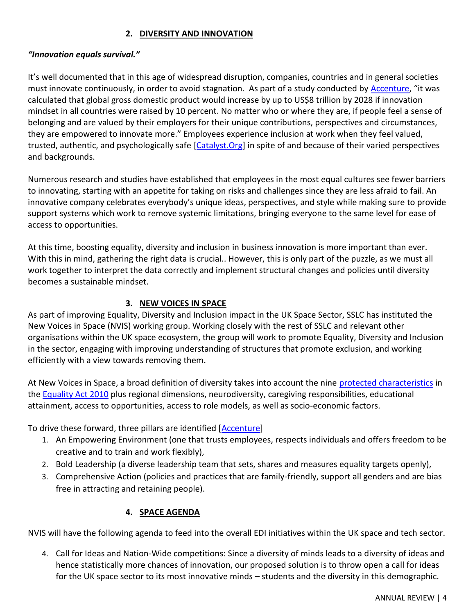#### **2. DIVERSITY AND INNOVATION**

#### *"Innovation equals survival."*

It's well documented that in this age of widespread disruption, companies, countries and in general societies must innovate continuously, in order to avoid stagnation. As part of a study conducted by [Accenture](https://www.accenture.com/_acnmedia/thought-leadership-assets/pdf/accenture-equality-equals-innovation-gender-equality-research-report-iwd-2019.pdf), "it was calculated that global gross domestic product would increase by up to US\$8 trillion by 2028 if innovation mindset in all countries were raised by 10 percent. No matter who or where they are, if people feel a sense of belonging and are valued by their employers for their unique contributions, perspectives and circumstances, they are empowered to innovate more." Employees experience inclusion at work when they feel valued, trusted, authentic, and psychologically safe [\[Catalyst.Org\]](https://www.catalyst.org/research/why-diversity-and-inclusion-matter/) in spite of and because of their varied perspectives and backgrounds.

Numerous research and studies have established that employees in the most equal cultures see fewer barriers to innovating, starting with an appetite for taking on risks and challenges since they are less afraid to fail. An innovative company celebrates everybody's unique ideas, perspectives, and style while making sure to provide support systems which work to remove systemic limitations, bringing everyone to the same level for ease of access to opportunities.

At this time, boosting equality, diversity and inclusion in business innovation is more important than ever. With this in mind, gathering the right data is crucial.. However, this is only part of the puzzle, as we must all work together to interpret the data correctly and implement structural changes and policies until diversity becomes a sustainable mindset.

#### **3. NEW VOICES IN SPACE**

As part of improving Equality, Diversity and Inclusion impact in the UK Space Sector, SSLC has instituted the New Voices in Space (NVIS) working group. Working closely with the rest of SSLC and relevant other organisations within the UK space ecosystem, the group will work to promote Equality, Diversity and Inclusion in the sector, engaging with improving understanding of structures that promote exclusion, and working efficiently with a view towards removing them.

At New Voices in Space, a broad definition of diversity takes into account the nine [protected characteristics](https://www.equalityhumanrights.com/en/equality-act/protected-characteristics) in the **Equality Act 2010** plus regional dimensions, neurodiversity, caregiving responsibilities, educational attainment, access to opportunities, access to role models, as well as socio-economic factors.

To drive these forward, three pillars are identified [\[Accenture\]](https://www.accenture.com/_acnmedia/thought-leadership-assets/pdf/accenture-equality-equals-innovation-gender-equality-research-report-iwd-2019.pdf)

- 1. An Empowering Environment (one that trusts employees, respects individuals and offers freedom to be creative and to train and work flexibly),
- 2. Bold Leadership (a diverse leadership team that sets, shares and measures equality targets openly),
- 3. Comprehensive Action (policies and practices that are family-friendly, support all genders and are bias free in attracting and retaining people).

#### **4. SPACE AGENDA**

NVIS will have the following agenda to feed into the overall EDI initiatives within the UK space and tech sector.

4. Call for Ideas and Nation-Wide competitions: Since a diversity of minds leads to a diversity of ideas and hence statistically more chances of innovation, our proposed solution is to throw open a call for ideas for the UK space sector to its most innovative minds – students and the diversity in this demographic.